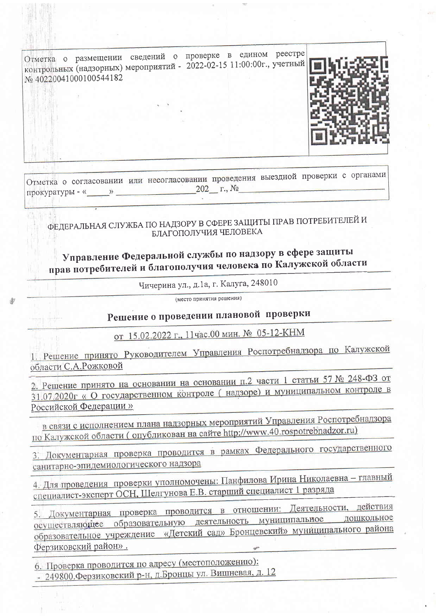

Отметка о согласовании или несогласовании проведения выездной проверки с органами прокуратуры - « $\_\_\_\_$  »  $\_\_\_\_\_$  202 г., №

ФЕДЕРАЛЬНАЯ СЛУЖБА ПО НАДЗОРУ В СФЕРЕ ЗАЩИТЫ ПРАВ ПОТРЕБИТЕЛЕЙ И БЛАГОПОЛУЧИЯ ЧЕЛОВЕКА

Управление Федеральной службы по надзору в сфере защиты прав потребителей и благополучия человека по Калужской области

Чичерина ул., д.1а, г. Калуга, 248010

(место принятия решения)

## Решение о проведении плановой проверки

от 15.02.2022 г., 11час.00 мин. № 05-12-КНМ

1. Решение принято Руководителем Управления Роспотребнадзора по Калужской области С.А.Рожковой

2. Решение принято на основании на основании п.2 части 1 статьи 57 № 248-ФЗ от 31.07.2020г « О государственном контроле (надзоре) и муниципальном контроле в Российской Федерации»

в связи с исполнением плана надзорных мероприятий Управления Роспотребнадзора по Калужской области (опубликован на сайте http://www.40.rospotrebnadzor.ru)

3. Документарная проверка проводится в рамках Федерального государственного санитарно-эпидемиологического надзора

4. Для проведения проверки уполномочены: Панфилова Ирина Николаевна - главный специалист-эксперт ОСН, Шелгунова Е.В. старший специалист 1 разряда

5. Документарная проверка проводится в отношении: Деятельности, действия осуществляющее образовательную деятельность муниципальное дошкольное образовательное учреждение «Детский сад» Бронцевский» муниципального района Ферзиковский район».

6. Проверка проводится по адресу (местоположению): - 249800. Ферзиковский р-н, д. Бронцы ул. Вишневая, д. 12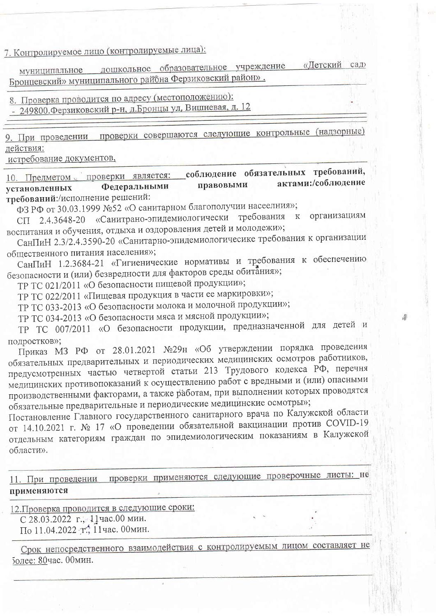7. Контролируемое лицо (контролируемые лица):

муниципальное дошкольное образовательное учреждение «Детский сад» Бронцевский» муниципального района Ферзиковский район».

8. Проверка проводится по адресу (местоположению):

- 249800. Ферзиковский р-н, д. Бронцы ул, Вишневая, д. 12

9. При проведении проверки совершаются следующие контрольные (надзорные) действия:

истребование документов,

соблюдение обязательных требований, 10. Предметом проверки является: актами:/соблюдение Федеральными правовыми установленных требований:/исполнение решений:

ФЗ РФ от 30.03.1999 №52 «О санитарном благополучии насеелния»;

СП 2.4.3648-20 «Санитрано-эпидемиологически требования к организациям воспитания и обучения, отдыха и оздоровления детей и молодежи»;

СанПиН 2.3/2.4.3590-20 «Санитарно-эпидемиологичесике требования к организации общественного питания населения»;

СанПиН 1.2.3684-21 «Гигиенические нормативы и требования к обеспечению безопасности и (или) безвредности для факторов среды обитания»;

ТР ТС 021/2011 «О безопасности пищевой продукции»;

ТР ТС 022/2011 «Пищевая продукция в части ее маркировки»;

ТР ТС 033-2013 «О безопасности молока и молочной продукции»;

ТР ТС 034-2013 «О безопасности мяса и мясной продукции»;

ТР ТС 007/2011 «О безопасности продукции, предназначенной для детей и полростков»:

Приказ МЗ РФ от 28.01.2021 №29н «Об утверждении порядка проведения обязательных предварительных и периодических медицинских осмотров работников, предусмотренных частью четвертой статьи 213 Трудового кодекса РФ, перечня медицинских противопоказаний к осуществлению работ с вредными и (или) опасными производственными факторами, а также работам, при выполнении которых проводятся обязательные предварительные и периодические медицинские осмотры»;

Постановление Главного государственного санитарного врача по Калужской области от 14.10.2021 г. № 17 «О проведении обязательной вакцинации против COVID-19 отдельным категориям граждан по эпидемиологическим показаниям в Калужской области».

11. При проведении проверки применяются следующие проверочные листы: не применяются

12. Проверка проводится в следующие сроки: С 28.03.2022 г., 11час.00 мин.

По 11.04.2022 т., 11час. 00мин.

Срок непосредственного взаимодействия с контролируемым лицом составляет не более: 80час. 00мин.